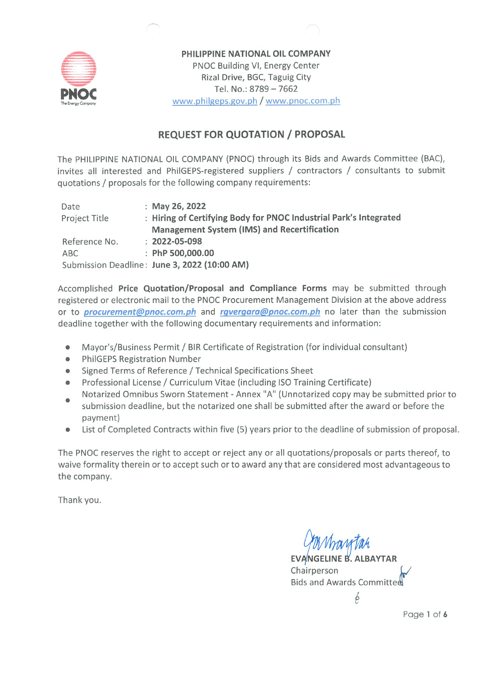

PHILIPPINE NATIONAL OIL COMPANY PNOC Building VI, Energy Center Rizal Drive, BGC, Taguig City Tel. No.: 8789 - 7662 www.philgeps.gov.ph / www.pnoc.com.ph

## **REQUEST FOR QUOTATION / PROPOSAL**

The PHILIPPINE NATIONAL OIL COMPANY (PNOC) through its Bids and Awards Committee (BAC), invites all interested and PhilGEPS-registered suppliers / contractors / consultants to submit quotations / proposals for the following company requirements:

| Date          | : May 26, 2022                                                    |
|---------------|-------------------------------------------------------------------|
| Project Title | : Hiring of Certifying Body for PNOC Industrial Park's Integrated |
|               | Management System (IMS) and Recertification                       |
| Reference No. | $: 2022 - 05 - 098$                                               |
| ABC           | : PhP 500,000.00                                                  |
|               | Submission Deadline: June 3, 2022 (10:00 AM)                      |

Accomplished Price Quotation/Proposal and Compliance Forms may be submitted through registered or electronic mail to the PNOC Procurement Management Division at the above address or to *procurement@pnoc.com.ph* and *rgvergara@pnoc.com.ph* no later than the submission deadline together with the following documentary requirements and information:

- Mayor's/Business Permit / BIR Certificate of Registration (for individual consultant)  $\bullet$
- **PhilGEPS Registration Number**  $\bullet$
- Signed Terms of Reference / Technical Specifications Sheet
- Professional License / Curriculum Vitae (including ISO Training Certificate)
- Notarized Omnibus Sworn Statement Annex "A" (Unnotarized copy may be submitted prior to submission deadline, but the notarized one shall be submitted after the award or before the payment)
- List of Completed Contracts within five (5) years prior to the deadline of submission of proposal.  $\bullet$

The PNOC reserves the right to accept or reject any or all quotations/proposals or parts thereof, to waive formality therein or to accept such or to award any that are considered most advantageous to the company.

Thank you.

**EVANGELINE B. ALBAYTAR** Chairperson Bids and Awards Committed

þ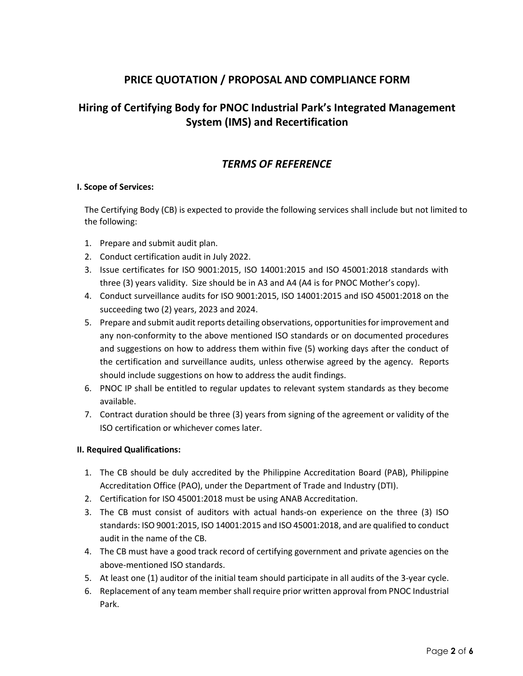## **PRICE QUOTATION / PROPOSAL AND COMPLIANCE FORM**

# **Hiring of Certifying Body for PNOC Industrial Park's Integrated Management System (IMS) and Recertification**

### *TERMS OF REFERENCE*

### **I. Scope of Services:**

The Certifying Body (CB) is expected to provide the following services shall include but not limited to the following:

- 1. Prepare and submit audit plan.
- 2. Conduct certification audit in July 2022.
- 3. Issue certificates for ISO 9001:2015, ISO 14001:2015 and ISO 45001:2018 standards with three (3) years validity. Size should be in A3 and A4 (A4 is for PNOC Mother's copy).
- 4. Conduct surveillance audits for ISO 9001:2015, ISO 14001:2015 and ISO 45001:2018 on the succeeding two (2) years, 2023 and 2024.
- 5. Prepare and submit audit reports detailing observations, opportunities for improvement and any non-conformity to the above mentioned ISO standards or on documented procedures and suggestions on how to address them within five (5) working days after the conduct of the certification and surveillance audits, unless otherwise agreed by the agency. Reports should include suggestions on how to address the audit findings.
- 6. PNOC IP shall be entitled to regular updates to relevant system standards as they become available.
- 7. Contract duration should be three (3) years from signing of the agreement or validity of the ISO certification or whichever comes later.

### **II. Required Qualifications:**

- 1. The CB should be duly accredited by the Philippine Accreditation Board (PAB), Philippine Accreditation Office (PAO), under the Department of Trade and Industry (DTI).
- 2. Certification for ISO 45001:2018 must be using ANAB Accreditation.
- 3. The CB must consist of auditors with actual hands-on experience on the three (3) ISO standards: ISO 9001:2015, ISO 14001:2015 and ISO 45001:2018, and are qualified to conduct audit in the name of the CB.
- 4. The CB must have a good track record of certifying government and private agencies on the above-mentioned ISO standards.
- 5. At least one (1) auditor of the initial team should participate in all audits of the 3-year cycle.
- 6. Replacement of any team member shall require prior written approval from PNOC Industrial Park.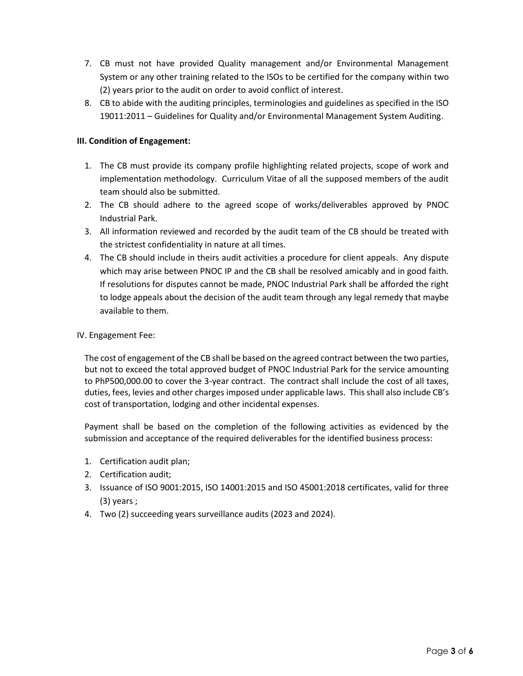- 7. CB must not have provided Quality management and/or Environmental Management System or any other training related to the ISOs to be certified for the company within two (2) years prior to the audit on order to avoid conflict of interest.
- 8. CB to abide with the auditing principles, terminologies and guidelines as specified in the ISO 19011:2011 – Guidelines for Quality and/or Environmental Management System Auditing.

### **III. Condition of Engagement:**

- 1. The CB must provide its company profile highlighting related projects, scope of work and implementation methodology. Curriculum Vitae of all the supposed members of the audit team should also be submitted.
- 2. The CB should adhere to the agreed scope of works/deliverables approved by PNOC Industrial Park.
- 3. All information reviewed and recorded by the audit team of the CB should be treated with the strictest confidentiality in nature at all times.
- 4. The CB should include in theirs audit activities a procedure for client appeals. Any dispute which may arise between PNOC IP and the CB shall be resolved amicably and in good faith. If resolutions for disputes cannot be made, PNOC Industrial Park shall be afforded the right to lodge appeals about the decision of the audit team through any legal remedy that maybe available to them.

### IV. Engagement Fee:

The cost of engagement of the CB shall be based on the agreed contract between the two parties, but not to exceed the total approved budget of PNOC Industrial Park for the service amounting to PhP500,000.00 to cover the 3-year contract. The contract shall include the cost of all taxes, duties, fees, levies and other charges imposed under applicable laws. This shall also include CB's cost of transportation, lodging and other incidental expenses.

Payment shall be based on the completion of the following activities as evidenced by the submission and acceptance of the required deliverables for the identified business process:

- 1. Certification audit plan;
- 2. Certification audit;
- 3. Issuance of ISO 9001:2015, ISO 14001:2015 and ISO 45001:2018 certificates, valid for three (3) years ;
- 4. Two (2) succeeding years surveillance audits (2023 and 2024).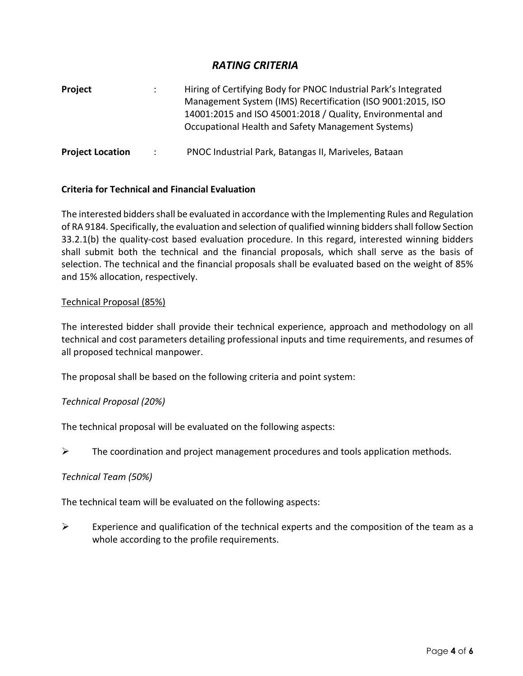### *RATING CRITERIA*

| Project                 |               | Hiring of Certifying Body for PNOC Industrial Park's Integrated<br>Management System (IMS) Recertification (ISO 9001:2015, ISO<br>14001:2015 and ISO 45001:2018 / Quality, Environmental and<br>Occupational Health and Safety Management Systems) |
|-------------------------|---------------|----------------------------------------------------------------------------------------------------------------------------------------------------------------------------------------------------------------------------------------------------|
| <b>Project Location</b> | $\mathcal{L}$ | PNOC Industrial Park, Batangas II, Mariveles, Bataan                                                                                                                                                                                               |

### **Criteria for Technical and Financial Evaluation**

The interested bidders shall be evaluated in accordance with the Implementing Rules and Regulation of RA 9184. Specifically, the evaluation and selection of qualified winning bidders shall follow Section 33.2.1(b) the quality-cost based evaluation procedure. In this regard, interested winning bidders shall submit both the technical and the financial proposals, which shall serve as the basis of selection. The technical and the financial proposals shall be evaluated based on the weight of 85% and 15% allocation, respectively.

### Technical Proposal (85%)

The interested bidder shall provide their technical experience, approach and methodology on all technical and cost parameters detailing professional inputs and time requirements, and resumes of all proposed technical manpower.

The proposal shall be based on the following criteria and point system:

### *Technical Proposal (20%)*

The technical proposal will be evaluated on the following aspects:

 $\triangleright$  The coordination and project management procedures and tools application methods.

#### *Technical Team (50%)*

The technical team will be evaluated on the following aspects:

 $\triangleright$  Experience and qualification of the technical experts and the composition of the team as a whole according to the profile requirements.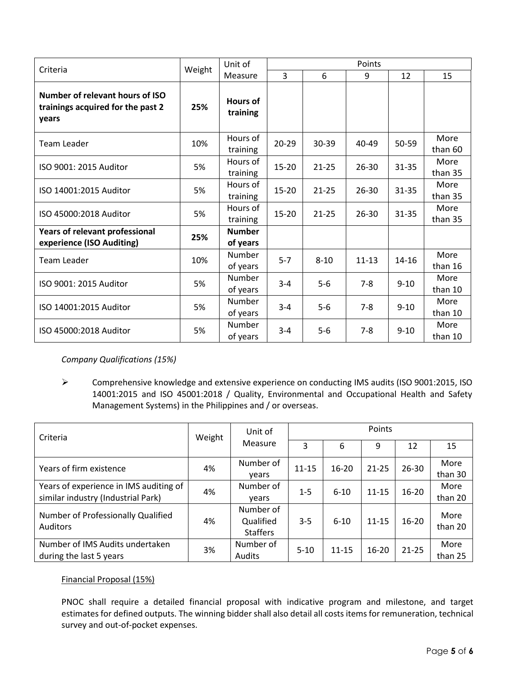| Criteria                                                                      |        | Unit of                     | Points         |           |           |           |                 |  |
|-------------------------------------------------------------------------------|--------|-----------------------------|----------------|-----------|-----------|-----------|-----------------|--|
|                                                                               | Weight | Measure                     | $\overline{3}$ | 6         | 9         | 12        | 15              |  |
| Number of relevant hours of ISO<br>trainings acquired for the past 2<br>years | 25%    | <b>Hours of</b><br>training |                |           |           |           |                 |  |
| <b>Team Leader</b>                                                            | 10%    | Hours of<br>training        | $20 - 29$      | 30-39     | 40-49     | $50 - 59$ | More<br>than 60 |  |
| ISO 9001: 2015 Auditor                                                        | 5%     | Hours of<br>training        | 15-20          | $21 - 25$ | $26 - 30$ | $31 - 35$ | More<br>than 35 |  |
| ISO 14001:2015 Auditor                                                        | 5%     | Hours of<br>training        | 15-20          | $21 - 25$ | $26 - 30$ | $31 - 35$ | More<br>than 35 |  |
| ISO 45000:2018 Auditor                                                        | 5%     | Hours of<br>training        | $15 - 20$      | $21 - 25$ | $26 - 30$ | $31 - 35$ | More<br>than 35 |  |
| Years of relevant professional<br>experience (ISO Auditing)                   | 25%    | <b>Number</b><br>of years   |                |           |           |           |                 |  |
| <b>Team Leader</b>                                                            | 10%    | Number<br>of years          | $5 - 7$        | $8 - 10$  | $11 - 13$ | $14 - 16$ | More<br>than 16 |  |
| ISO 9001: 2015 Auditor                                                        | 5%     | Number<br>of years          | $3 - 4$        | $5-6$     | $7 - 8$   | $9 - 10$  | More<br>than 10 |  |
| ISO 14001:2015 Auditor                                                        | 5%     | Number<br>of years          | $3 - 4$        | $5-6$     | $7 - 8$   | $9 - 10$  | More<br>than 10 |  |
| ISO 45000:2018 Auditor                                                        | 5%     | Number<br>of years          | $3 - 4$        | $5-6$     | $7 - 8$   | $9 - 10$  | More<br>than 10 |  |

*Company Qualifications (15%)*

 Comprehensive knowledge and extensive experience on conducting IMS audits (ISO 9001:2015, ISO 14001:2015 and ISO 45001:2018 / Quality, Environmental and Occupational Health and Safety Management Systems) in the Philippines and / or overseas.

| Criteria                                                                     | Weight | Unit of                                   | Points    |           |           |           |                 |
|------------------------------------------------------------------------------|--------|-------------------------------------------|-----------|-----------|-----------|-----------|-----------------|
|                                                                              |        | Measure                                   | 3         | 6         | 9         | 12        | 15              |
| Years of firm existence                                                      | 4%     | Number of<br>vears                        | $11 - 15$ | $16 - 20$ | $21 - 25$ | $26 - 30$ | More<br>than 30 |
| Years of experience in IMS auditing of<br>similar industry (Industrial Park) | 4%     | Number of<br>vears                        | $1 - 5$   | $6 - 10$  | $11 - 15$ | $16 - 20$ | More<br>than 20 |
| Number of Professionally Qualified<br><b>Auditors</b>                        | 4%     | Number of<br>Qualified<br><b>Staffers</b> | $3 - 5$   | $6 - 10$  | $11 - 15$ | $16 - 20$ | More<br>than 20 |
| Number of IMS Audits undertaken<br>during the last 5 years                   | 3%     | Number of<br>Audits                       | $5 - 10$  | $11 - 15$ | $16 - 20$ | $21 - 25$ | More<br>than 25 |

### Financial Proposal (15%)

PNOC shall require a detailed financial proposal with indicative program and milestone, and target estimates for defined outputs. The winning bidder shall also detail all costs items for remuneration, technical survey and out-of-pocket expenses.